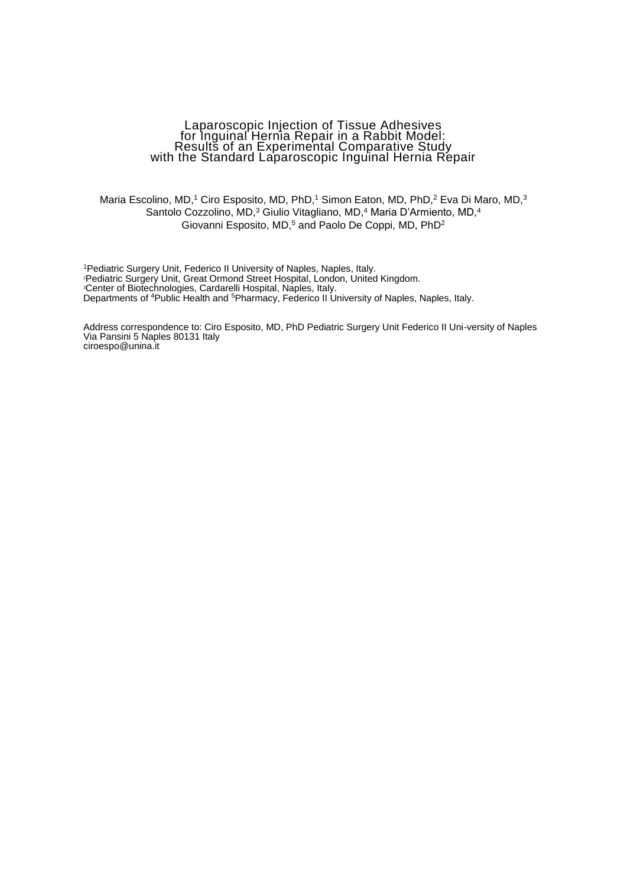### Laparoscopic Injection of Tissue Adhesives for Inguinal Hernia Repair in a Rabbit Model: Results of an Experimental Comparative Study with the Standard Laparoscopic Inguinal Hernia Repair

Maria Escolino, MD,<sup>1</sup> Ciro Esposito, MD, PhD,<sup>1</sup> Simon Eaton, MD, PhD,<sup>2</sup> Eva Di Maro, MD,<sup>3</sup> Santolo Cozzolino, MD,<sup>3</sup> Giulio Vitagliano, MD,<sup>4</sup> Maria D'Armiento, MD,<sup>4</sup> Giovanni Esposito, MD,<sup>5</sup> and Paolo De Coppi, MD, PhD<sup>2</sup>

Pediatric Surgery Unit, Federico II University of Naples, Naples, Italy. Pediatric Surgery Unit, Great Ormond Street Hospital, London, United Kingdom. Center of Biotechnologies, Cardarelli Hospital, Naples, Italy. Departments of <sup>4</sup>Public Health and <sup>5</sup>Pharmacy, Federico II University of Naples, Naples, Italy.

Address correspondence to: Ciro Esposito, MD, PhD Pediatric Surgery Unit Federico II Uni-versity of Naples Via Pansini 5 Naples 80131 Italy ciroespo@unina.it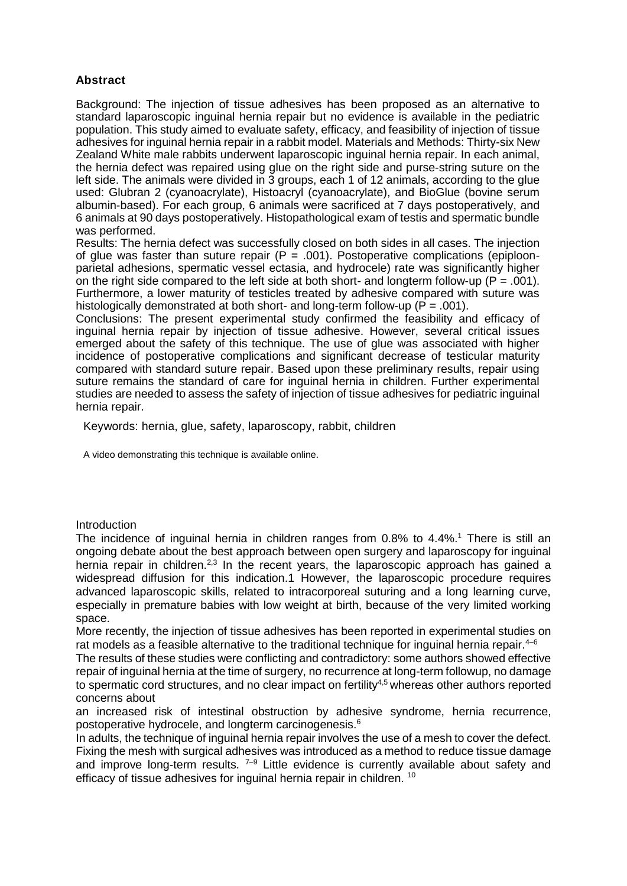# **Abstract**

Background: The injection of tissue adhesives has been proposed as an alternative to standard laparoscopic inguinal hernia repair but no evidence is available in the pediatric population. This study aimed to evaluate safety, efficacy, and feasibility of injection of tissue adhesives for inguinal hernia repair in a rabbit model. Materials and Methods: Thirty-six New Zealand White male rabbits underwent laparoscopic inguinal hernia repair. In each animal, the hernia defect was repaired using glue on the right side and purse-string suture on the left side. The animals were divided in 3 groups, each 1 of 12 animals, according to the glue used: Glubran 2 (cyanoacrylate), Histoacryl (cyanoacrylate), and BioGlue (bovine serum albumin-based). For each group, 6 animals were sacrificed at 7 days postoperatively, and 6 animals at 90 days postoperatively. Histopathological exam of testis and spermatic bundle was performed.

Results: The hernia defect was successfully closed on both sides in all cases. The injection of glue was faster than suture repair ( $P = .001$ ). Postoperative complications (epiploonparietal adhesions, spermatic vessel ectasia, and hydrocele) rate was significantly higher on the right side compared to the left side at both short- and longterm follow-up ( $P = .001$ ). Furthermore, a lower maturity of testicles treated by adhesive compared with suture was histologically demonstrated at both short- and long-term follow-up ( $P = .001$ ).

Conclusions: The present experimental study confirmed the feasibility and efficacy of inguinal hernia repair by injection of tissue adhesive. However, several critical issues emerged about the safety of this technique. The use of glue was associated with higher incidence of postoperative complications and significant decrease of testicular maturity compared with standard suture repair. Based upon these preliminary results, repair using suture remains the standard of care for inguinal hernia in children. Further experimental studies are needed to assess the safety of injection of tissue adhesives for pediatric inguinal hernia repair.

Keywords: hernia, glue, safety, laparoscopy, rabbit, children

A video demonstrating this technique is available online.

# Introduction

The incidence of inguinal hernia in children ranges from 0.8% to 4.4%.<sup>1</sup> There is still an ongoing debate about the best approach between open surgery and laparoscopy for inguinal hernia repair in children.<sup>2,3</sup> In the recent years, the laparoscopic approach has gained a widespread diffusion for this indication.1 However, the laparoscopic procedure requires advanced laparoscopic skills, related to intracorporeal suturing and a long learning curve, especially in premature babies with low weight at birth, because of the very limited working space.

More recently, the injection of tissue adhesives has been reported in experimental studies on rat models as a feasible alternative to the traditional technique for inquinal hernia repair.  $4-6$ 

The results of these studies were conflicting and contradictory: some authors showed effective repair of inguinal hernia at the time of surgery, no recurrence at long-term followup, no damage to spermatic cord structures, and no clear impact on fertility<sup>4,5</sup> whereas other authors reported concerns about

an increased risk of intestinal obstruction by adhesive syndrome, hernia recurrence, postoperative hydrocele, and longterm carcinogenesis.<sup>6</sup>

In adults, the technique of inguinal hernia repair involves the use of a mesh to cover the defect. Fixing the mesh with surgical adhesives was introduced as a method to reduce tissue damage and improve long-term results.  $7-9$  Little evidence is currently available about safety and efficacy of tissue adhesives for inguinal hernia repair in children. <sup>10</sup>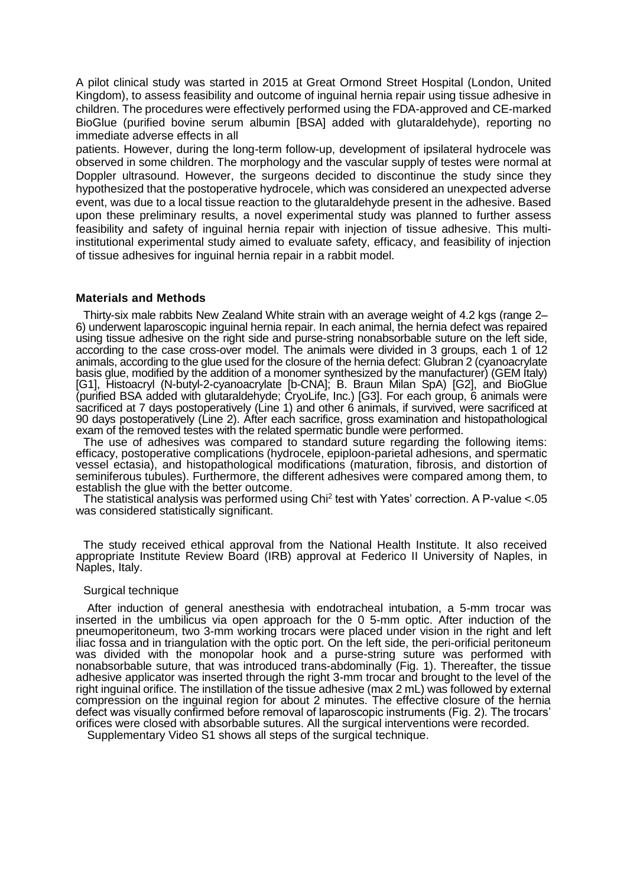A pilot clinical study was started in 2015 at Great Ormond Street Hospital (London, United Kingdom), to assess feasibility and outcome of inguinal hernia repair using tissue adhesive in children. The procedures were effectively performed using the FDA-approved and CE-marked BioGlue (purified bovine serum albumin [BSA] added with glutaraldehyde), reporting no immediate adverse effects in all

patients. However, during the long-term follow-up, development of ipsilateral hydrocele was observed in some children. The morphology and the vascular supply of testes were normal at Doppler ultrasound. However, the surgeons decided to discontinue the study since they hypothesized that the postoperative hydrocele, which was considered an unexpected adverse event, was due to a local tissue reaction to the glutaraldehyde present in the adhesive. Based upon these preliminary results, a novel experimental study was planned to further assess feasibility and safety of inguinal hernia repair with injection of tissue adhesive. This multiinstitutional experimental study aimed to evaluate safety, efficacy, and feasibility of injection of tissue adhesives for inguinal hernia repair in a rabbit model.

### **Materials and Methods**

Thirty-six male rabbits New Zealand White strain with an average weight of 4.2 kgs (range 2– 6) underwent laparoscopic inguinal hernia repair. In each animal, the hernia defect was repaired using tissue adhesive on the right side and purse-string nonabsorbable suture on the left side, according to the case cross-over model. The animals were divided in 3 groups, each 1 of 12 animals, according to the glue used for the closure of the hernia defect: Glubran 2 (cyanoacrylate basis glue, modified by the addition of a monomer synthesized by the manufacturer) (GEM Italy) [G1], Histoacryl (N-butyl-2-cyanoacrylate [b-CNA]; B. Braun Milan SpA) [G2], and BioGlue (purified BSA added with glutaraldehyde; CryoLife, Inc.) [G3]. For each group, 6 animals were sacrificed at 7 days postoperatively (Line 1) and other 6 animals, if survived, were sacrificed at 90 days postoperatively (Line 2). After each sacrifice, gross examination and histopathological exam of the removed testes with the related spermatic bundle were performed.

The use of adhesives was compared to standard suture regarding the following items: efficacy, postoperative complications (hydrocele, epiploon-parietal adhesions, and spermatic vessel ectasia), and histopathological modifications (maturation, fibrosis, and distortion of seminiferous tubules). Furthermore, the different adhesives were compared among them, to establish the glue with the better outcome.

The statistical analysis was performed using  $Chi<sup>2</sup>$  test with Yates' correction. A P-value <.05 was considered statistically significant.

The study received ethical approval from the National Health Institute. It also received appropriate Institute Review Board (IRB) approval at Federico II University of Naples, in Naples, Italy.

### Surgical technique

After induction of general anesthesia with endotracheal intubation, a 5-mm trocar was inserted in the umbilicus via open approach for the 0 5-mm optic. After induction of the pneumoperitoneum, two 3-mm working trocars were placed under vision in the right and left iliac fossa and in triangulation with the optic port. On the left side, the peri-orificial peritoneum was divided with the monopolar hook and a purse-string suture was performed with nonabsorbable suture, that was introduced trans-abdominally (Fig. 1). Thereafter, the tissue adhesive applicator was inserted through the right 3-mm trocar and brought to the level of the right inguinal orifice. The instillation of the tissue adhesive (max 2 mL) was followed by external compression on the inguinal region for about 2 minutes. The effective closure of the hernia defect was visually confirmed before removal of laparoscopic instruments (Fig. 2). The trocars' orifices were closed with absorbable sutures. All the surgical interventions were recorded.

Supplementary Video S1 shows all steps of the surgical technique.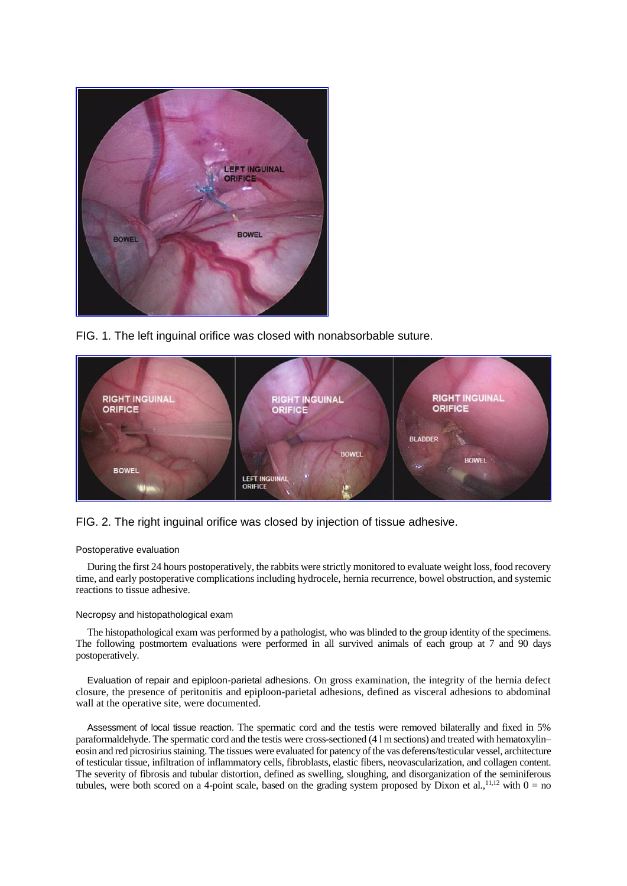

FIG. 1. The left inguinal orifice was closed with nonabsorbable suture.



# FIG. 2. The right inguinal orifice was closed by injection of tissue adhesive.

### Postoperative evaluation

During the first 24 hours postoperatively, the rabbits were strictly monitored to evaluate weight loss, food recovery time, and early postoperative complications including hydrocele, hernia recurrence, bowel obstruction, and systemic reactions to tissue adhesive.

### Necropsy and histopathological exam

The histopathological exam was performed by a pathologist, who was blinded to the group identity of the specimens. The following postmortem evaluations were performed in all survived animals of each group at 7 and 90 days postoperatively.

Evaluation of repair and epiploon-parietal adhesions. On gross examination, the integrity of the hernia defect closure, the presence of peritonitis and epiploon-parietal adhesions, defined as visceral adhesions to abdominal wall at the operative site, were documented.

Assessment of local tissue reaction. The spermatic cord and the testis were removed bilaterally and fixed in 5% paraformaldehyde. The spermatic cord and the testis were cross-sectioned (4 l m sections) and treated with hematoxylin– eosin and red picrosirius staining. The tissues were evaluated for patency of the vas deferens/testicular vessel, architecture of testicular tissue, infiltration of inflammatory cells, fibroblasts, elastic fibers, neovascularization, and collagen content. The severity of fibrosis and tubular distortion, defined as swelling, sloughing, and disorganization of the seminiferous tubules, were both scored on a 4-point scale, based on the grading system proposed by Dixon et al.,  $^{11,12}$  with  $0 =$  no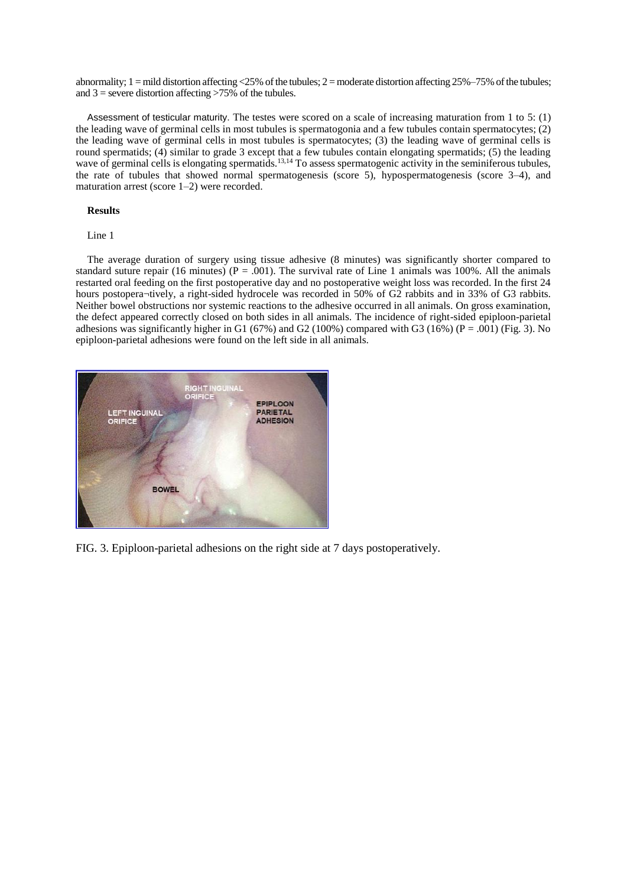abnormality;  $1 =$  mild distortion affecting <25% of the tubules;  $2 =$  moderate distortion affecting 25%–75% of the tubules; and  $3$  = severe distortion affecting  $>75\%$  of the tubules.

Assessment of testicular maturity. The testes were scored on a scale of increasing maturation from 1 to 5: (1) the leading wave of germinal cells in most tubules is spermatogonia and a few tubules contain spermatocytes; (2) the leading wave of germinal cells in most tubules is spermatocytes; (3) the leading wave of germinal cells is round spermatids; (4) similar to grade 3 except that a few tubules contain elongating spermatids; (5) the leading wave of germinal cells is elongating spermatids.<sup>13,14</sup> To assess spermatogenic activity in the seminiferous tubules, the rate of tubules that showed normal spermatogenesis (score 5), hypospermatogenesis (score 3–4), and maturation arrest (score 1–2) were recorded.

#### **Results**

#### Line 1

The average duration of surgery using tissue adhesive (8 minutes) was significantly shorter compared to standard suture repair (16 minutes) ( $P = .001$ ). The survival rate of Line 1 animals was 100%. All the animals restarted oral feeding on the first postoperative day and no postoperative weight loss was recorded. In the first 24 hours postopera¬tively, a right-sided hydrocele was recorded in 50% of G2 rabbits and in 33% of G3 rabbits. Neither bowel obstructions nor systemic reactions to the adhesive occurred in all animals. On gross examination, the defect appeared correctly closed on both sides in all animals. The incidence of right-sided epiploon-parietal adhesions was significantly higher in G1 (67%) and G2 (100%) compared with G3 (16%) (P = .001) (Fig. 3). No epiploon-parietal adhesions were found on the left side in all animals.



FIG. 3. Epiploon-parietal adhesions on the right side at 7 days postoperatively.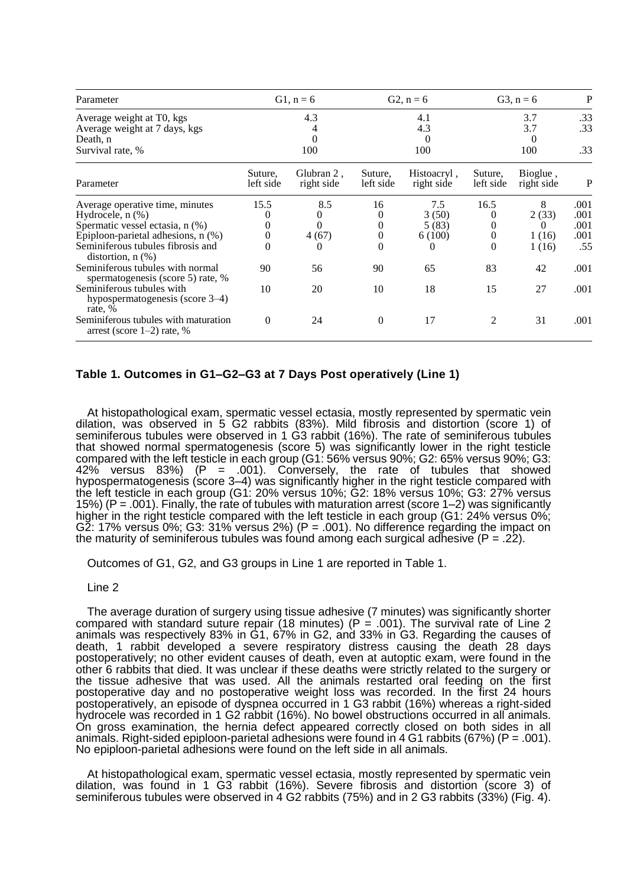| Parameter                                                                                                                                                                                        | $G1, n = 6$<br>4.3<br>0<br>100         |                                    | $G2, n = 6$                   |                                      | $G3, n = 6$                                          |                                          | P                                   |
|--------------------------------------------------------------------------------------------------------------------------------------------------------------------------------------------------|----------------------------------------|------------------------------------|-------------------------------|--------------------------------------|------------------------------------------------------|------------------------------------------|-------------------------------------|
| Average weight at T0, kgs<br>Average weight at 7 days, kgs<br>Death, n<br>Survival rate, %                                                                                                       |                                        |                                    |                               | 4.1<br>4.3<br>$\theta$<br>100        | 3.7<br>3.7<br>$\Omega$<br>100                        |                                          | .33<br>.33<br>.33                   |
| Parameter                                                                                                                                                                                        | Suture,<br>left side                   | Glubran 2,<br>right side           | Suture,<br>left side          | Histoacryl,<br>right side            | Suture,<br>left side                                 | Bioglue,<br>right side                   | P                                   |
| Average operative time, minutes<br>Hydrocele, $n$ $(\%)$<br>Spermatic vessel ectasia, n (%)<br>Epiploon-parietal adhesions, n (%)<br>Seminiferous tubules fibrosis and<br>distortion, $n$ $(\%)$ | 15.5<br>0<br>$\Omega$<br>$\Omega$<br>0 | 8.5<br>$_{0}$<br>4(67)<br>$\theta$ | 16<br>0<br>0<br>0<br>$\theta$ | 7.5<br>3(50)<br>5(83)<br>6(100)<br>0 | 16.5<br>$\theta$<br>$\theta$<br>$\theta$<br>$\theta$ | 8<br>2(33)<br>$\theta$<br>1(16)<br>1(16) | .001<br>.001<br>.001<br>.001<br>.55 |
| Seminiferous tubules with normal<br>spermatogenesis (score 5) rate, %<br>Seminiferous tubules with<br>hypospermatogenesis (score $3-4$ )<br>rate, %                                              | 90<br>10                               | 56<br>20                           | 90<br>10                      | 65<br>18                             | 83<br>15                                             | 42<br>27                                 | .001<br>.001                        |
| Seminiferous tubules with maturation<br>arrest (score $1-2$ ) rate, %                                                                                                                            | 0                                      | 24                                 | $\theta$                      | 17                                   | 2                                                    | 31                                       | .001                                |

## **Table 1. Outcomes in G1–G2–G3 at 7 Days Post operatively (Line 1)**

At histopathological exam, spermatic vessel ectasia, mostly represented by spermatic vein dilation, was observed in 5 G2 rabbits (83%). Mild fibrosis and distortion (score 1) of seminiferous tubules were observed in 1 G3 rabbit (16%). The rate of seminiferous tubules that showed normal spermatogenesis (score 5) was significantly lower in the right testicle compared with the left testicle in each group (G1: 56% versus 90%; G2: 65% versus 90%; G3: 42% versus 83%) (P = .001). Conversely, the rate of tubules that showed hypospermatogenesis (score 3–4) was significantly higher in the right testicle compared with the left testicle in each group (G1: 20% versus 10%; G2: 18% versus 10%; G3: 27% versus 15%) (P = .001). Finally, the rate of tubules with maturation arrest (score 1–2) was significantly higher in the right testicle compared with the left testicle in each group (G1: 24% versus 0%; G2: 17% versus 0%; G3: 31% versus 2%) (P = .001). No difference regarding the impact on the maturity of seminiferous tubules was found among each surgical adhesive  $(P = 0.22)$ .

Outcomes of G1, G2, and G3 groups in Line 1 are reported in Table 1.

### Line 2

The average duration of surgery using tissue adhesive (7 minutes) was significantly shorter compared with standard suture repair (18 minutes) (P = .001). The survival rate of Line 2 animals was respectively 83% in G1, 67% in G2, and 33% in G3. Regarding the causes of death, 1 rabbit developed a severe respiratory distress causing the death 28 days postoperatively; no other evident causes of death, even at autoptic exam, were found in the other 6 rabbits that died. It was unclear if these deaths were strictly related to the surgery or the tissue adhesive that was used. All the animals restarted oral feeding on the first postoperative day and no postoperative weight loss was recorded. In the first 24 hours postoperatively, an episode of dyspnea occurred in 1 G3 rabbit (16%) whereas a right-sided hydrocele was recorded in 1 G2 rabbit (16%). No bowel obstructions occurred in all animals. On gross examination, the hernia defect appeared correctly closed on both sides in all animals. Right-sided epiploon-parietal adhesions were found in 4 G1 rabbits (67%) (P = .001). No epiploon-parietal adhesions were found on the left side in all animals.

At histopathological exam, spermatic vessel ectasia, mostly represented by spermatic vein dilation, was found in 1 G3 rabbit (16%). Severe fibrosis and distortion (score 3) of seminiferous tubules were observed in 4 G2 rabbits (75%) and in 2 G3 rabbits (33%) (Fig. 4).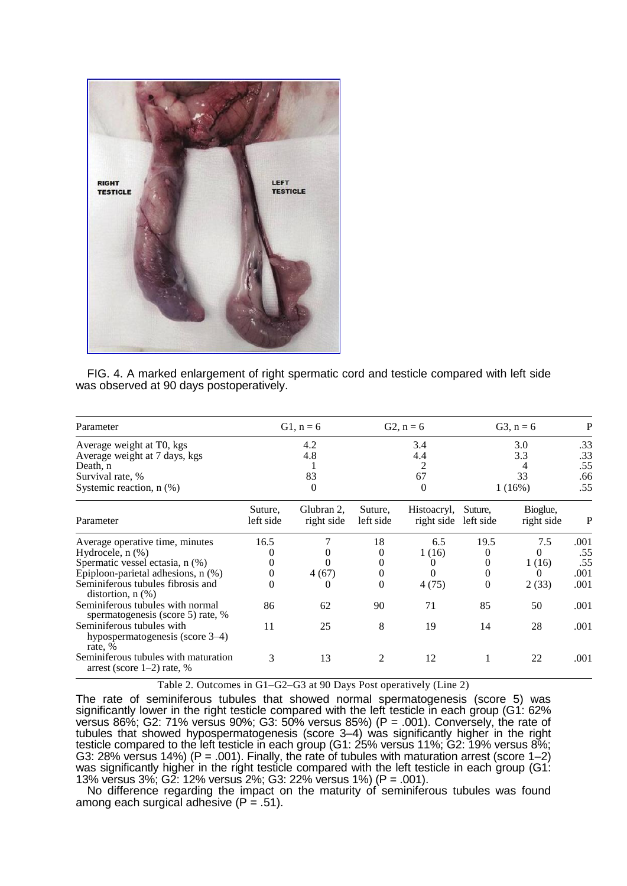

FIG. 4. A marked enlargement of right spermatic cord and testicle compared with left side was observed at 90 days postoperatively.

| Parameter                     | G1, $n = 6$ | $G2, n = 6$ | $G3, n = 6$ |     |  |
|-------------------------------|-------------|-------------|-------------|-----|--|
| Average weight at T0, kgs     | 4.2         | 3.4         | 3.0         | .33 |  |
| Average weight at 7 days, kgs | 4.8         | 4.4         | 3.3         | .33 |  |
| Death, n                      |             |             |             | .55 |  |
| Survival rate, %              | 83          | 67          | 33          | .66 |  |
| Systemic reaction, $n$ $(\%)$ |             |             | 1(16%)      | .55 |  |

| Parameter                                                               | Suture,<br>left side | Glubran 2,<br>right side | Suture.<br>left side | Histoacryl,<br>right side left side | Suture.  | Bioglue,<br>right side | P    |
|-------------------------------------------------------------------------|----------------------|--------------------------|----------------------|-------------------------------------|----------|------------------------|------|
| Average operative time, minutes                                         | 16.5                 |                          | 18                   | 6.5                                 | 19.5     | 7.5                    | .001 |
| Hydrocele, $n$ $(\%)$                                                   |                      | 0                        | 0                    | 1(16)                               |          |                        | .55  |
| Spermatic vessel ectasia, n (%)                                         | 0                    |                          | 0                    |                                     |          | 1(16)                  | .55  |
| Epiploon-parietal adhesions, n (%)                                      | 0                    | 4(67)                    | 0                    |                                     |          |                        | .001 |
| Seminiferous tubules fibrosis and<br>distortion, $n$ $(\%)$             | $\theta$             | 0                        | 0                    | 4(75)                               | $\theta$ | 2(33)                  | .001 |
| Seminiferous tubules with normal<br>spermatogenesis (score 5) rate, %   | 86                   | 62                       | 90                   | 71                                  | 85       | 50                     | .001 |
| Seminiferous tubules with<br>hypospermatogenesis (score 3–4)<br>rate, % | 11                   | 25                       | 8                    | 19                                  | 14       | 28                     | .001 |
| Seminiferous tubules with maturation<br>arrest (score $1-2$ ) rate, %   | 3                    | 13                       |                      | 12                                  |          | 22                     | .001 |

Table 2. Outcomes in G1–G2–G3 at 90 Days Post operatively (Line 2)

The rate of seminiferous tubules that showed normal spermatogenesis (score 5) was significantly lower in the right testicle compared with the left testicle in each group (G1: 62% versus 86%; G2: 71% versus 90%; G3: 50% versus 85%) (P = .001). Conversely, the rate of tubules that showed hypospermatogenesis (score 3–4) was significantly higher in the right testicle compared to the left testicle in each group (G1: 25% versus 11%; G2: 19% versus 8%; G3: 28% versus 14%) (P = .001). Finally, the rate of tubules with maturation arrest (score 1–2) was significantly higher in the right testicle compared with the left testicle in each group (G1: 13% versus 3%; G2: 12% versus 2%; G3: 22% versus 1%) (P = .001).

No difference regarding the impact on the maturity of seminiferous tubules was found among each surgical adhesive  $(P = .51)$ .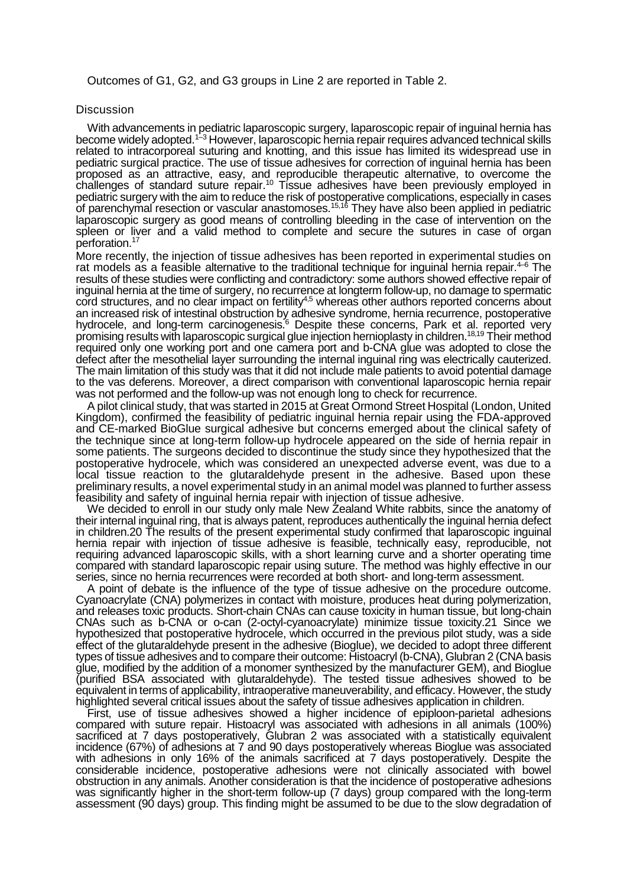Outcomes of G1, G2, and G3 groups in Line 2 are reported in Table 2.

## **Discussion**

With advancements in pediatric laparoscopic surgery, laparoscopic repair of inguinal hernia has become widely adopted.<sup>1-3</sup> However, laparoscopic hernia repair requires advanced technical skills related to intracorporeal suturing and knotting, and this issue has limited its widespread use in pediatric surgical practice. The use of tissue adhesives for correction of inguinal hernia has been proposed as an attractive, easy, and reproducible therapeutic alternative, to overcome the challenges of standard suture repair.<sup>10</sup> Tissue adhesives have been previously employed in pediatric surgery with the aim to reduce the risk of postoperative complications, especially in cases of parenchymal resection or vascular anastomoses.<sup>15,16</sup> They have also been applied in pediatric laparoscopic surgery as good means of controlling bleeding in the case of intervention on the spleen or liver and a valid method to complete and secure the sutures in case of organ perforation.<sup>17</sup>

More recently, the injection of tissue adhesives has been reported in experimental studies on rat models as a feasible alternative to the traditional technique for inquinal hernia repair.<sup>4-6</sup> The results of these studies were conflicting and contradictory: some authors showed effective repair of inguinal hernia at the time of surgery, no recurrence at longterm follow-up, no damage to spermatic cord structures, and no clear impact on fertility<sup>4,5</sup> whereas other authors reported concerns about an increased risk of intestinal obstruction by adhesive syndrome, hernia recurrence, postoperative hydrocele, and long-term carcinogenesis.<sup>6</sup> Despite these concerns, Park et al. reported very promising results with laparoscopic surgical glue injection hernioplasty in children.<sup>18,19</sup> Their method required only one working port and one camera port and b-CNA glue was adopted to close the defect after the mesothelial layer surrounding the internal inguinal ring was electrically cauterized. The main limitation of this study was that it did not include male patients to avoid potential damage to the vas deferens. Moreover, a direct comparison with conventional laparoscopic hernia repair was not performed and the follow-up was not enough long to check for recurrence.

A pilot clinical study, that was started in 2015 at Great Ormond Street Hospital (London, United Kingdom), confirmed the feasibility of pediatric inguinal hernia repair using the FDA-approved and CE-marked BioGlue surgical adhesive but concerns emerged about the clinical safety of the technique since at long-term follow-up hydrocele appeared on the side of hernia repair in some patients. The surgeons decided to discontinue the study since they hypothesized that the postoperative hydrocele, which was considered an unexpected adverse event, was due to a local tissue reaction to the glutaraldehyde present in the adhesive. Based upon these preliminary results, a novel experimental study in an animal model was planned to further assess feasibility and safety of inguinal hernia repair with injection of tissue adhesive.

We decided to enroll in our study only male New Zealand White rabbits, since the anatomy of their internal inguinal ring, that is always patent, reproduces authentically the inguinal hernia defect in children.20 The results of the present experimental study confirmed that laparoscopic inguinal hernia repair with injection of tissue adhesive is feasible, technically easy, reproducible, not requiring advanced laparoscopic skills, with a short learning curve and a shorter operating time compared with standard laparoscopic repair using suture. The method was highly effective in our series, since no hernia recurrences were recorded at both short- and long-term assessment.

A point of debate is the influence of the type of tissue adhesive on the procedure outcome. Cyanoacrylate (CNA) polymerizes in contact with moisture, produces heat during polymerization, and releases toxic products. Short-chain CNAs can cause toxicity in human tissue, but long-chain CNAs such as b-CNA or o-can (2-octyl-cyanoacrylate) minimize tissue toxicity.21 Since we hypothesized that postoperative hydrocele, which occurred in the previous pilot study, was a side effect of the glutaraldehyde present in the adhesive (Bioglue), we decided to adopt three different types of tissue adhesives and to compare their outcome: Histoacryl (b-CNA), Glubran 2 (CNA basis glue, modified by the addition of a monomer synthesized by the manufacturer GEM), and Bioglue (purified BSA associated with glutaraldehyde). The tested tissue adhesives showed to be equivalent in terms of applicability, intraoperative maneuverability, and efficacy. However, the study highlighted several critical issues about the safety of tissue adhesives application in children.

First, use of tissue adhesives showed a higher incidence of epiploon-parietal adhesions compared with suture repair. Histoacryl was associated with adhesions in all animals (100%) sacrificed at 7 days postoperatively, Glubran 2 was associated with a statistically equivalent incidence (67%) of adhesions at 7 and 90 days postoperatively whereas Bioglue was associated with adhesions in only 16% of the animals sacrificed at 7 days postoperatively. Despite the considerable incidence, postoperative adhesions were not clinically associated with bowel obstruction in any animals. Another consideration is that the incidence of postoperative adhesions was significantly higher in the short-term follow-up (7 days) group compared with the long-term assessment (90 days) group. This finding might be assumed to be due to the slow degradation of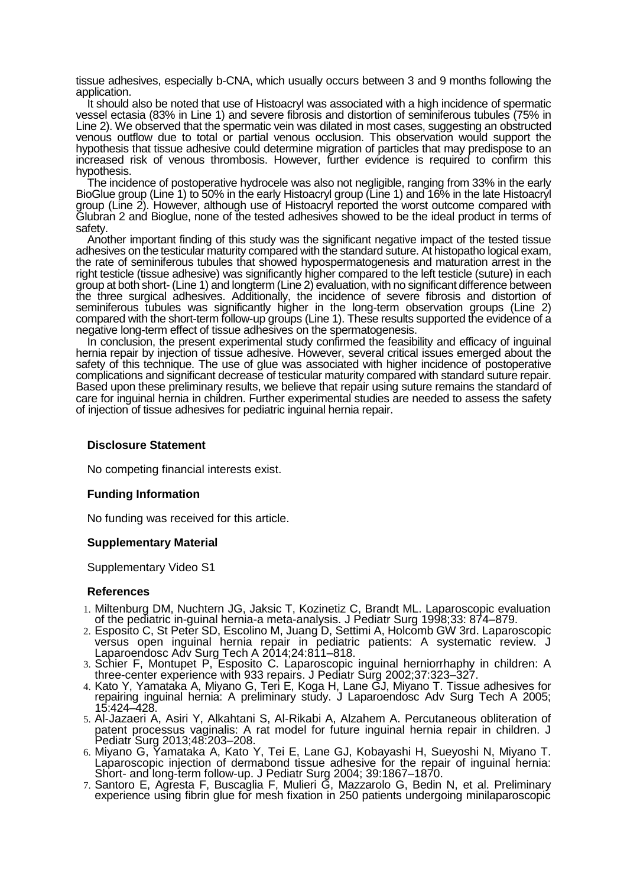tissue adhesives, especially b-CNA, which usually occurs between 3 and 9 months following the application.

It should also be noted that use of Histoacryl was associated with a high incidence of spermatic vessel ectasia (83% in Line 1) and severe fibrosis and distortion of seminiferous tubules (75% in Line 2). We observed that the spermatic vein was dilated in most cases, suggesting an obstructed venous outflow due to total or partial venous occlusion. This observation would support the hypothesis that tissue adhesive could determine migration of particles that may predispose to an increased risk of venous thrombosis. However, further evidence is required to confirm this hypothesis.

The incidence of postoperative hydrocele was also not negligible, ranging from 33% in the early BioGlue group (Line 1) to 50% in the early Histoacryl group (Line 1) and 16% in the late Histoacryl group (Line 2). However, although use of Histoacryl reported the worst outcome compared with Glubran 2 and Bioglue, none of the tested adhesives showed to be the ideal product in terms of safety.

Another important finding of this study was the significant negative impact of the tested tissue adhesives on the testicular maturity compared with the standard suture. At histopatho logical exam, the rate of seminiferous tubules that showed hypospermatogenesis and maturation arrest in the right testicle (tissue adhesive) was significantly higher compared to the left testicle (suture) in each group at both short- (Line 1) and longterm (Line 2) evaluation, with no significant difference between the three surgical adhesives. Additionally, the incidence of severe fibrosis and distortion of seminiferous tubules was significantly higher in the long-term observation groups (Line 2) compared with the short-term follow-up groups (Line 1). These results supported the evidence of a negative long-term effect of tissue adhesives on the spermatogenesis.

In conclusion, the present experimental study confirmed the feasibility and efficacy of inguinal hernia repair by injection of tissue adhesive. However, several critical issues emerged about the safety of this technique. The use of glue was associated with higher incidence of postoperative complications and significant decrease of testicular maturity compared with standard suture repair. Based upon these preliminary results, we believe that repair using suture remains the standard of care for inguinal hernia in children. Further experimental studies are needed to assess the safety of injection of tissue adhesives for pediatric inguinal hernia repair.

### **Disclosure Statement**

No competing financial interests exist.

# **Funding Information**

No funding was received for this article.

# **Supplementary Material**

Supplementary Video S1

### **References**

- 1. Miltenburg DM, Nuchtern JG, Jaksic T, Kozinetiz C, Brandt ML. Laparoscopic evaluation of the pediatric in-guinal hernia-a meta-analysis. J Pediatr Surg 1998;33: 874–879.
- 2. Esposito C, St Peter SD, Escolino M, Juang D, Settimi A, Holcomb GW 3rd. Laparoscopic versus open inguinal hernia repair in pediatric patients: A systematic review. J Laparoendosc Adv Surg Tech A 2014;24:811–818.
- 3. Schier F, Montupet P, Esposito C. Laparoscopic inguinal herniorrhaphy in children: A three-center experience with 933 repairs. J Pediatr Surg 2002;37:323–327.
- 4. Kato Y, Yamataka A, Miyano G, Teri E, Koga H, Lane GJ, Miyano T. Tissue adhesives for repairing inguinal hernia: A preliminary study. J Laparoendosc Adv Surg Tech A 2005; 15:424–428.
- 5. Al-Jazaeri A, Asiri Y, Alkahtani S, Al-Rikabi A, Alzahem A. Percutaneous obliteration of patent processus vaginalis: A rat model for future inguinal hernia repair in children. J Pediatr Surg 2013;48:203–208.
- 6. Miyano G, Yamataka A, Kato Y, Tei E, Lane GJ, Kobayashi H, Sueyoshi N, Miyano T. Laparoscopic injection of dermabond tissue adhesive for the repair of inguinal hernia: Short- and long-term follow-up. J Pediatr Surg 2004; 39:1867–1870.
- 7. Santoro E, Agresta F, Buscaglia F, Mulieri G, Mazzarolo G, Bedin N, et al. Preliminary experience using fibrin glue for mesh fixation in 250 patients undergoing minilaparoscopic